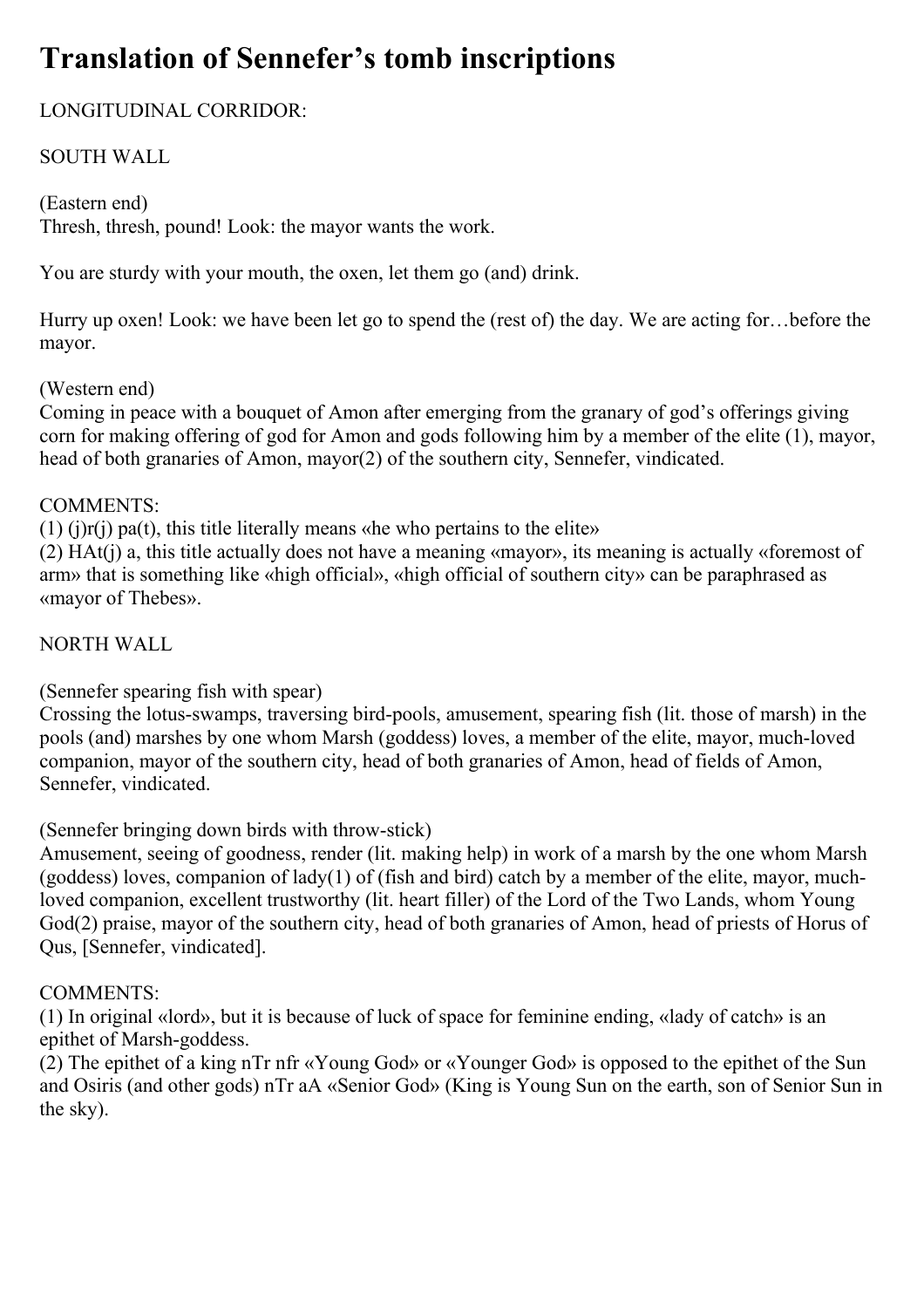# **Translation of Sennefer's tomb inscriptions**

# LONGITUDINAL CORRIDOR:

# SOUTH WALL

# (Eastern end)

Thresh, thresh, pound! Look: the mayor wants the work.

You are sturdy with your mouth, the oxen, let them go (and) drink.

Hurry up oxen! Look: we have been let go to spend the (rest of) the day. We are acting for…before the mayor.

# (Western end)

Coming in peace with a bouquet of Amon after emerging from the granary of god's offerings giving corn for making offering of god for Amon and gods following him by a member of the elite (1), mayor, head of both granaries of Amon, mayor(2) of the southern city, Sennefer, vindicated.

# COMMENTS:

 $(1)$  (j) $r(j)$  pa(t), this title literally means «he who pertains to the elite»

(2) HAt(j) a, this title actually does not have a meaning «mayor», its meaning is actually «foremost of arm» that is something like «high official», «high official of southern city» can be paraphrased as «mayor of Thebes».

# NORTH WALL

(Sennefer spearing fish with spear)

Crossing the lotus-swamps, traversing bird-pools, amusement, spearing fish (lit. those of marsh) in the pools (and) marshes by one whom Marsh (goddess) loves, a member of the elite, mayor, much-loved companion, mayor of the southern city, head of both granaries of Amon, head of fields of Amon, Sennefer, vindicated.

(Sennefer bringing down birds with throw-stick)

Amusement, seeing of goodness, render (lit. making help) in work of a marsh by the one whom Marsh (goddess) loves, companion of lady(1) of (fish and bird) catch by a member of the elite, mayor, muchloved companion, excellent trustworthy (lit. heart filler) of the Lord of the Two Lands, whom Young God(2) praise, mayor of the southern city, head of both granaries of Amon, head of priests of Horus of Qus, [Sennefer, vindicated].

# COMMENTS:

(1) In original «lord», but it is because of luck of space for feminine ending, «lady of catch» is an epithet of Marsh-goddess.

(2) The epithet of a king nTr nfr «Young God» or «Younger God» is opposed to the epithet of the Sun and Osiris (and other gods) nTr aA «Senior God» (King is Young Sun on the earth, son of Senior Sun in the sky).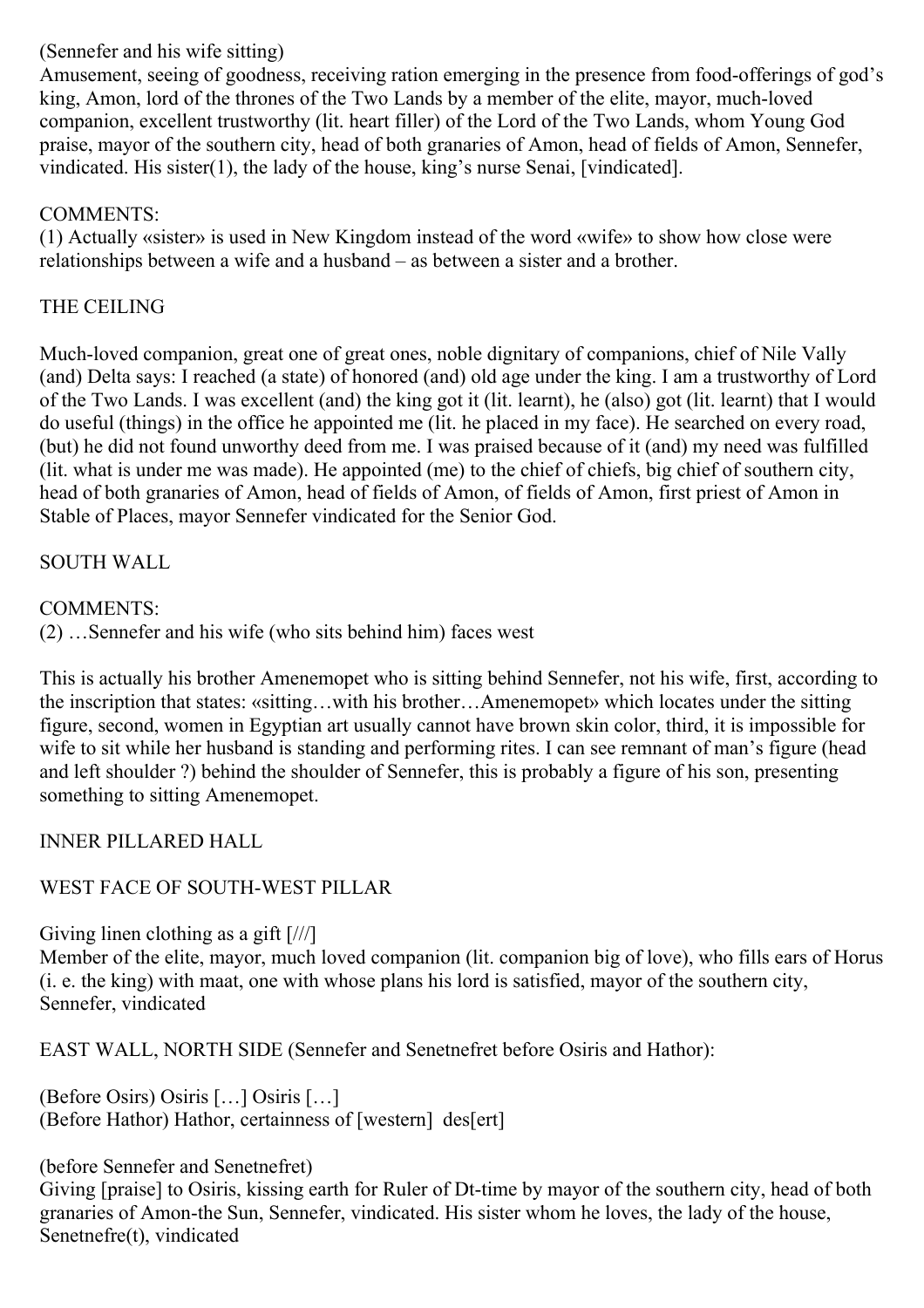# (Sennefer and his wife sitting)

Amusement, seeing of goodness, receiving ration emerging in the presence from food-offerings of god's king, Amon, lord of the thrones of the Two Lands by a member of the elite, mayor, much-loved companion, excellent trustworthy (lit. heart filler) of the Lord of the Two Lands, whom Young God praise, mayor of the southern city, head of both granaries of Amon, head of fields of Amon, Sennefer, vindicated. His sister(1), the lady of the house, king's nurse Senai, [vindicated].

# COMMENTS:

(1) Actually «sister» is used in New Kingdom instead of the word «wife» to show how close were relationships between a wife and a husband – as between a sister and a brother.

# THE CEILING

Much-loved companion, great one of great ones, noble dignitary of companions, chief of Nile Vally (and) Delta says: I reached (a state) of honored (and) old age under the king. I am a trustworthy of Lord of the Two Lands. I was excellent (and) the king got it (lit. learnt), he (also) got (lit. learnt) that I would do useful (things) in the office he appointed me (lit. he placed in my face). He searched on every road, (but) he did not found unworthy deed from me. I was praised because of it (and) my need was fulfilled (lit. what is under me was made). He appointed (me) to the chief of chiefs, big chief of southern city, head of both granaries of Amon, head of fields of Amon, of fields of Amon, first priest of Amon in Stable of Places, mayor Sennefer vindicated for the Senior God.

# SOUTH WALL

# COMMENTS:

(2) …Sennefer and his wife (who sits behind him) faces west

This is actually his brother Amenemopet who is sitting behind Sennefer, not his wife, first, according to the inscription that states: «sitting…with his brother…Amenemopet» which locates under the sitting figure, second, women in Egyptian art usually cannot have brown skin color, third, it is impossible for wife to sit while her husband is standing and performing rites. I can see remnant of man's figure (head and left shoulder ?) behind the shoulder of Sennefer, this is probably a figure of his son, presenting something to sitting Amenemopet.

INNER PILLARED HALL

# WEST FACE OF SOUTH-WEST PILLAR

Giving linen clothing as a gift [///]

Member of the elite, mayor, much loved companion (lit. companion big of love), who fills ears of Horus (i. e. the king) with maat, one with whose plans his lord is satisfied, mayor of the southern city, Sennefer, vindicated

EAST WALL, NORTH SIDE (Sennefer and Senetnefret before Osiris and Hathor):

(Before Osirs) Osiris […] Osiris […] (Before Hathor) Hathor, certainness of [western] des[ert]

# (before Sennefer and Senetnefret)

Giving [praise] to Osiris, kissing earth for Ruler of Dt-time by mayor of the southern city, head of both granaries of Amon-the Sun, Sennefer, vindicated. His sister whom he loves, the lady of the house, Senetnefre(t), vindicated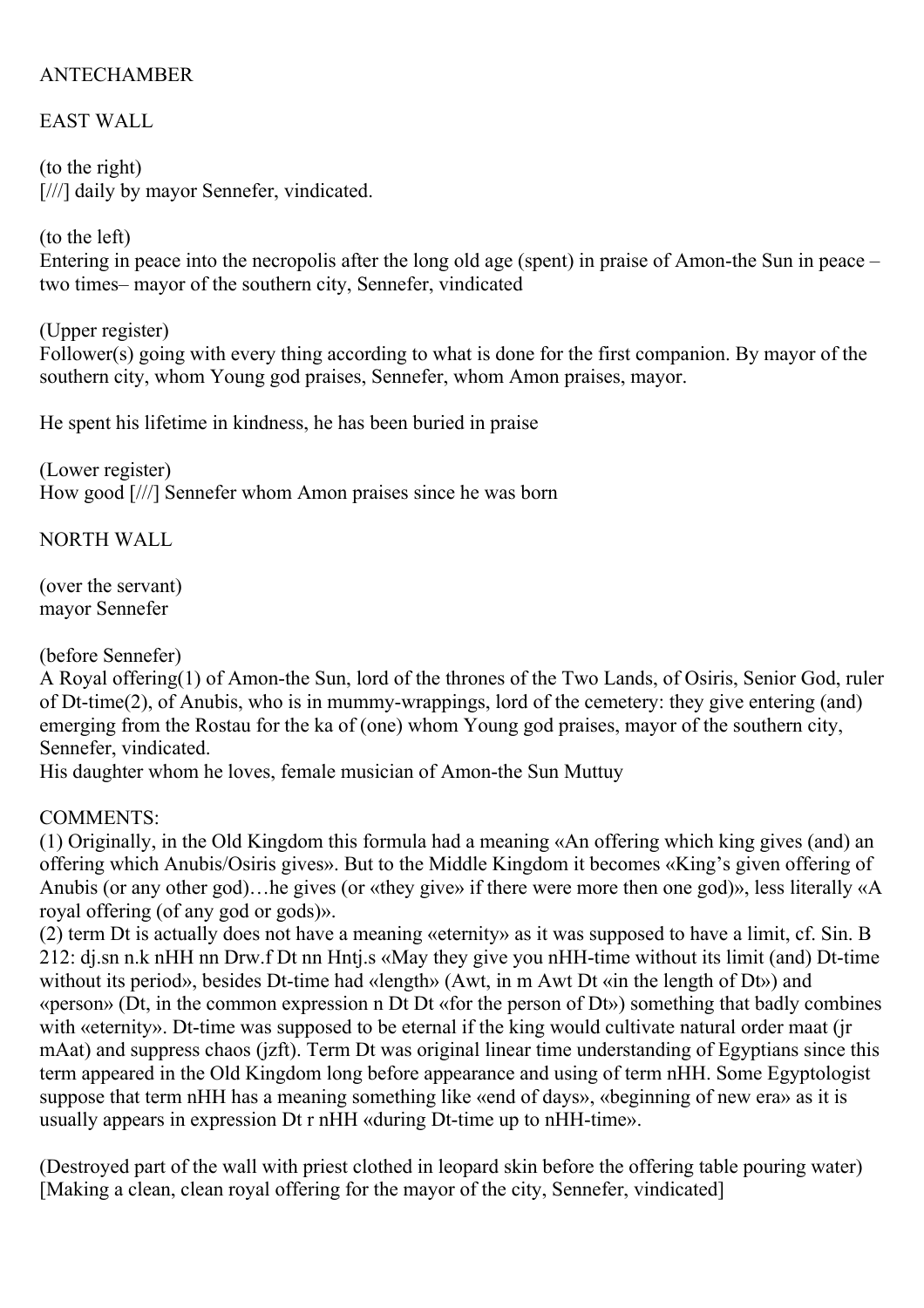# ANTECHAMBER

# EAST WALL

(to the right) [///] daily by mayor Sennefer, vindicated.

(to the left) Entering in peace into the necropolis after the long old age (spent) in praise of Amon-the Sun in peace – two times– mayor of the southern city, Sennefer, vindicated

(Upper register)

Follower(s) going with every thing according to what is done for the first companion. By mayor of the southern city, whom Young god praises, Sennefer, whom Amon praises, mayor.

He spent his lifetime in kindness, he has been buried in praise

(Lower register) How good [///] Sennefer whom Amon praises since he was born

NORTH WALL

(over the servant) mayor Sennefer

(before Sennefer)

A Royal offering(1) of Amon-the Sun, lord of the thrones of the Two Lands, of Osiris, Senior God, ruler of Dt-time(2), of Anubis, who is in mummy-wrappings, lord of the cemetery: they give entering (and) emerging from the Rostau for the ka of (one) whom Young god praises, mayor of the southern city, Sennefer, vindicated.

His daughter whom he loves, female musician of Amon-the Sun Muttuy

#### COMMENTS:

(1) Originally, in the Old Kingdom this formula had a meaning «An offering which king gives (and) an offering which Anubis/Osiris gives». But to the Middle Kingdom it becomes «King's given offering of Anubis (or any other god)…he gives (or «they give» if there were more then one god)», less literally «A royal offering (of any god or gods)».

(2) term Dt is actually does not have a meaning «eternity» as it was supposed to have a limit, cf. Sin. B 212: dj.sn n.k nHH nn Drw.f Dt nn Hntj.s «May they give you nHH-time without its limit (and) Dt-time without its period», besides Dt-time had «length» (Awt, in m Awt Dt «in the length of Dt») and «person» (Dt, in the common expression n Dt Dt «for the person of Dt») something that badly combines with «eternity». Dt-time was supposed to be eternal if the king would cultivate natural order maat (jr mAat) and suppress chaos (jzft). Term Dt was original linear time understanding of Egyptians since this term appeared in the Old Kingdom long before appearance and using of term nHH. Some Egyptologist suppose that term nHH has a meaning something like «end of days», «beginning of new era» as it is usually appears in expression Dt r nHH «during Dt-time up to nHH-time».

(Destroyed part of the wall with priest clothed in leopard skin before the offering table pouring water) [Making a clean, clean royal offering for the mayor of the city, Sennefer, vindicated]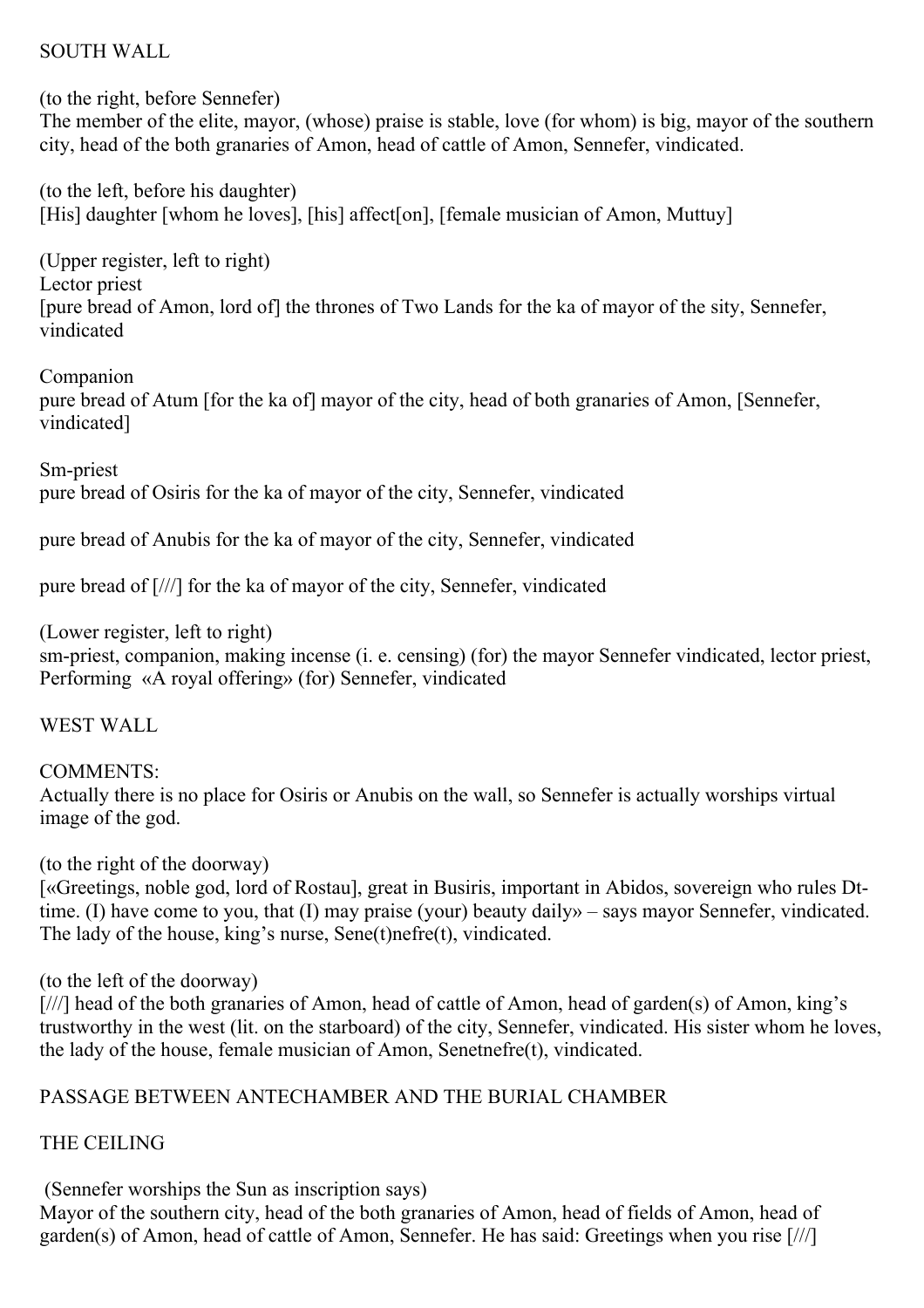#### SOUTH WALL

(to the right, before Sennefer) The member of the elite, mayor, (whose) praise is stable, love (for whom) is big, mayor of the southern city, head of the both granaries of Amon, head of cattle of Amon, Sennefer, vindicated.

(to the left, before his daughter) [His] daughter [whom he loves], [his] affect[on], [female musician of Amon, Muttuy]

(Upper register, left to right) Lector priest [pure bread of Amon, lord of] the thrones of Two Lands for the ka of mayor of the sity, Sennefer, vindicated

Companion

pure bread of Atum [for the ka of] mayor of the city, head of both granaries of Amon, [Sennefer, vindicated]

Sm-priest pure bread of Osiris for the ka of mayor of the city, Sennefer, vindicated

pure bread of Anubis for the ka of mayor of the city, Sennefer, vindicated

pure bread of [///] for the ka of mayor of the city, Sennefer, vindicated

(Lower register, left to right)

sm-priest, companion, making incense (i. e. censing) (for) the mayor Sennefer vindicated, lector priest, Performing «A royal offering» (for) Sennefer, vindicated

WEST WALL

COMMENTS: Actually there is no place for Osiris or Anubis on the wall, so Sennefer is actually worships virtual image of the god.

(to the right of the doorway)

[«Greetings, noble god, lord of Rostau], great in Busiris, important in Abidos, sovereign who rules Dttime. (I) have come to you, that (I) may praise (your) beauty daily» – says mayor Sennefer, vindicated. The lady of the house, king's nurse, Sene(t)nefre(t), vindicated.

(to the left of the doorway)

[///] head of the both granaries of Amon, head of cattle of Amon, head of garden(s) of Amon, king's trustworthy in the west (lit. on the starboard) of the city, Sennefer, vindicated. His sister whom he loves, the lady of the house, female musician of Amon, Senetnefre(t), vindicated.

# PASSAGE BETWEEN ANTECHAMBER AND THE BURIAL CHAMBER

THE CEILING

(Sennefer worships the Sun as inscription says)

Mayor of the southern city, head of the both granaries of Amon, head of fields of Amon, head of garden(s) of Amon, head of cattle of Amon, Sennefer. He has said: Greetings when you rise [///]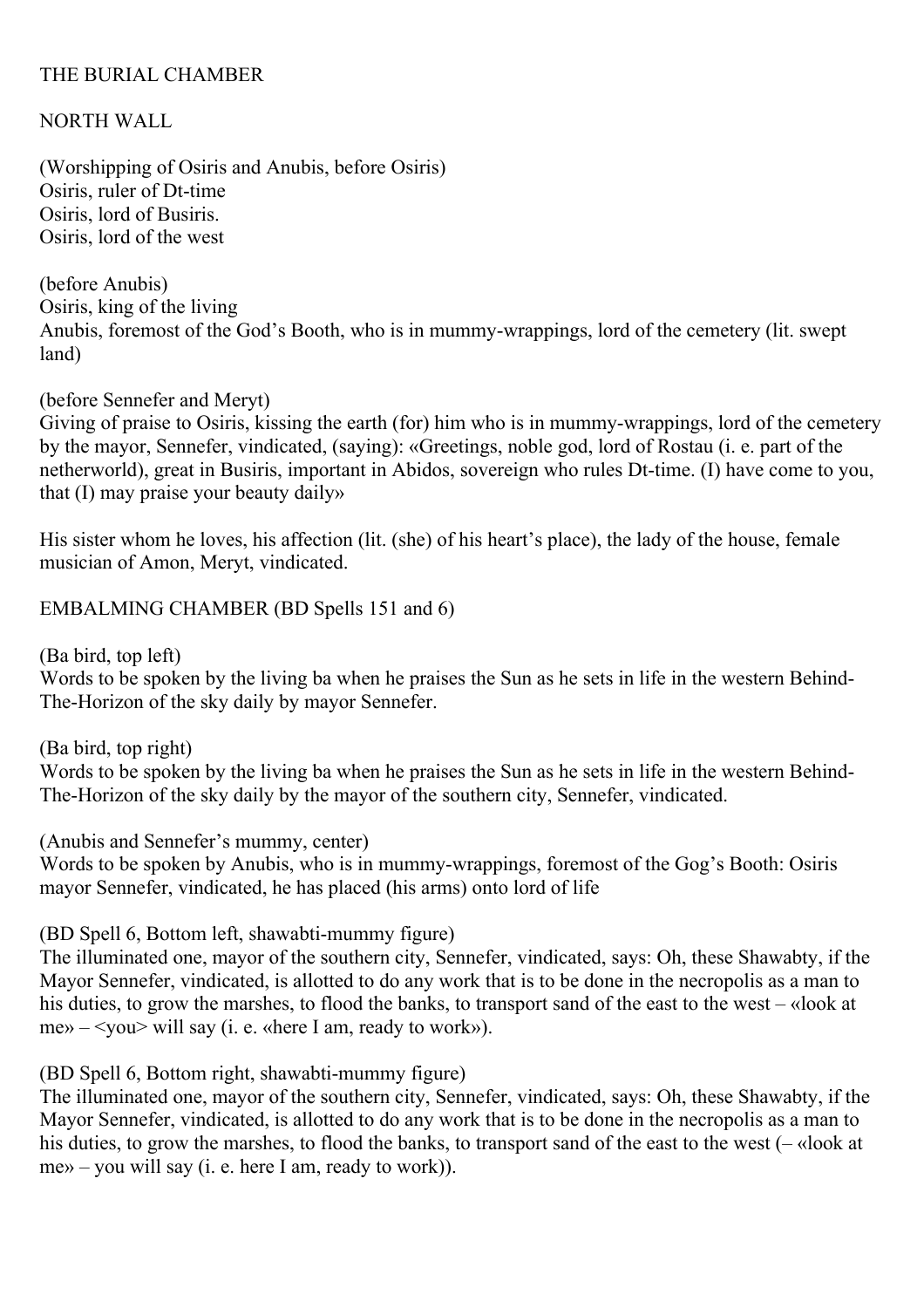#### THE BURIAL CHAMBER

NORTH WALL

(Worshipping of Osiris and Anubis, before Osiris) Osiris, ruler of Dt-time Osiris, lord of Busiris. Osiris, lord of the west

(before Anubis) Osiris, king of the living Anubis, foremost of the God's Booth, who is in mummy-wrappings, lord of the cemetery (lit. swept land)

(before Sennefer and Meryt)

Giving of praise to Osiris, kissing the earth (for) him who is in mummy-wrappings, lord of the cemetery by the mayor, Sennefer, vindicated, (saying): «Greetings, noble god, lord of Rostau (i. e. part of the netherworld), great in Busiris, important in Abidos, sovereign who rules Dt-time. (I) have come to you, that (I) may praise your beauty daily»

His sister whom he loves, his affection (lit. (she) of his heart's place), the lady of the house, female musician of Amon, Meryt, vindicated.

EMBALMING CHAMBER (BD Spells 151 and 6)

(Ba bird, top left)

Words to be spoken by the living ba when he praises the Sun as he sets in life in the western Behind-The-Horizon of the sky daily by mayor Sennefer.

(Ba bird, top right)

Words to be spoken by the living ba when he praises the Sun as he sets in life in the western Behind-The-Horizon of the sky daily by the mayor of the southern city, Sennefer, vindicated.

(Anubis and Sennefer's mummy, center)

Words to be spoken by Anubis, who is in mummy-wrappings, foremost of the Gog's Booth: Osiris mayor Sennefer, vindicated, he has placed (his arms) onto lord of life

(BD Spell 6, Bottom left, shawabti-mummy figure)

The illuminated one, mayor of the southern city, Sennefer, vindicated, says: Oh, these Shawabty, if the Mayor Sennefer, vindicated, is allotted to do any work that is to be done in the necropolis as a man to his duties, to grow the marshes, to flood the banks, to transport sand of the east to the west – «look at me» – <you> will say (i. e. «here I am, ready to work»).

(BD Spell 6, Bottom right, shawabti-mummy figure)

The illuminated one, mayor of the southern city, Sennefer, vindicated, says: Oh, these Shawabty, if the Mayor Sennefer, vindicated, is allotted to do any work that is to be done in the necropolis as a man to his duties, to grow the marshes, to flood the banks, to transport sand of the east to the west (– «look at me» – you will say (i. e. here I am, ready to work)).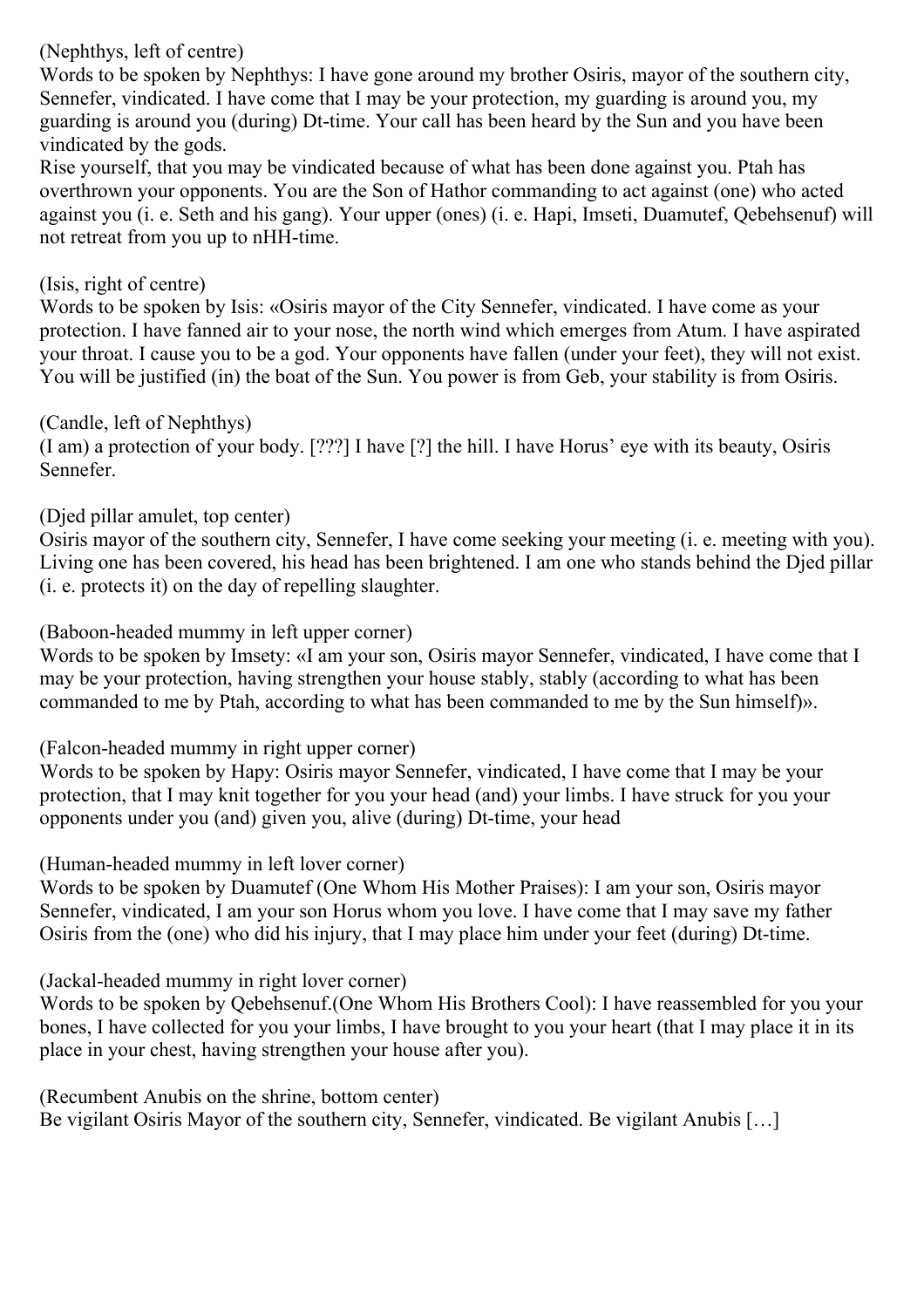(Nephthys, left of centre)

Words to be spoken by Nephthys: I have gone around my brother Osiris, mayor of the southern city, Sennefer, vindicated. I have come that I may be your protection, my guarding is around you, my guarding is around you (during) Dt-time. Your call has been heard by the Sun and you have been vindicated by the gods.

Rise yourself, that you may be vindicated because of what has been done against you. Ptah has overthrown your opponents. You are the Son of Hathor commanding to act against (one) who acted against you (i. e. Seth and his gang). Your upper (ones) (i. e. Hapi, Imseti, Duamutef, Qebehsenuf) will not retreat from you up to nHH-time.

# (Isis, right of centre)

Words to be spoken by Isis: «Osiris mayor of the City Sennefer, vindicated. I have come as your protection. I have fanned air to your nose, the north wind which emerges from Atum. I have aspirated your throat. I cause you to be a god. Your opponents have fallen (under your feet), they will not exist. You will be justified (in) the boat of the Sun. You power is from Geb, your stability is from Osiris.

#### (Candle, left of Nephthys)

(I am) a protection of your body. [???] I have [?] the hill. I have Horus' eye with its beauty, Osiris Sennefer.

# (Djed pillar amulet, top center)

Osiris mayor of the southern city, Sennefer, I have come seeking your meeting (i. e. meeting with you). Living one has been covered, his head has been brightened. I am one who stands behind the Djed pillar (i. e. protects it) on the day of repelling slaughter.

#### (Baboon-headed mummy in left upper corner)

Words to be spoken by Imsety: «I am your son, Osiris mayor Sennefer, vindicated, I have come that I may be your protection, having strengthen your house stably, stably (according to what has been commanded to me by Ptah, according to what has been commanded to me by the Sun himself)».

(Falcon-headed mummy in right upper corner)

Words to be spoken by Hapy: Osiris mayor Sennefer, vindicated, I have come that I may be your protection, that I may knit together for you your head (and) your limbs. I have struck for you your opponents under you (and) given you, alive (during) Dt-time, your head

(Human-headed mummy in left lover corner)

Words to be spoken by Duamutef (One Whom His Mother Praises): I am your son, Osiris mayor Sennefer, vindicated, I am your son Horus whom you love. I have come that I may save my father Osiris from the (one) who did his injury, that I may place him under your feet (during) Dt-time.

(Jackal-headed mummy in right lover corner)

Words to be spoken by Qebehsenuf.(One Whom His Brothers Cool): I have reassembled for you your bones, I have collected for you your limbs, I have brought to you your heart (that I may place it in its place in your chest, having strengthen your house after you).

(Recumbent Anubis on the shrine, bottom center)

Be vigilant Osiris Mayor of the southern city, Sennefer, vindicated. Be vigilant Anubis [...]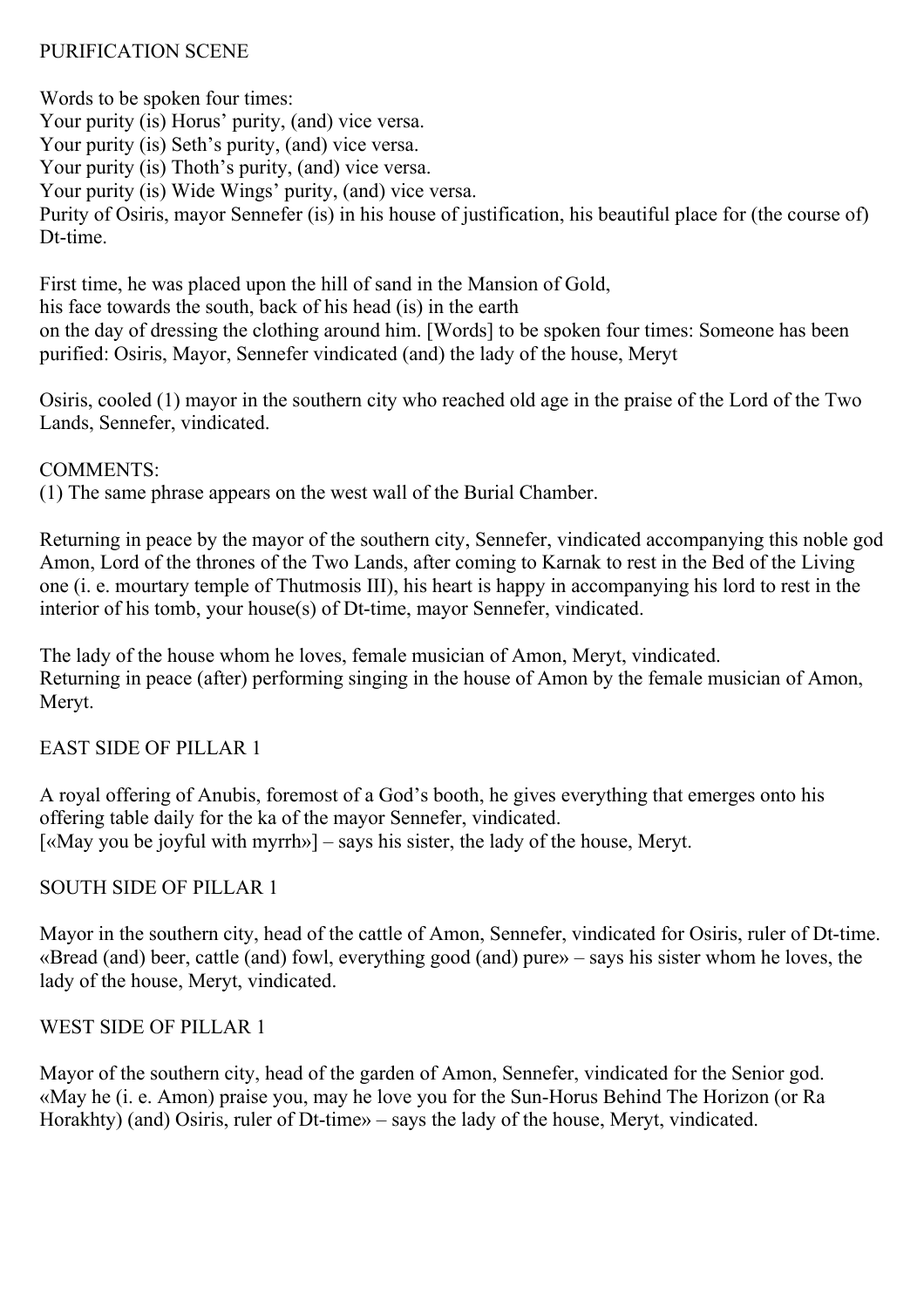#### PURIFICATION SCENE

Words to be spoken four times: Your purity (is) Horus' purity, (and) vice versa. Your purity (is) Seth's purity, (and) vice versa. Your purity (is) Thoth's purity, (and) vice versa. Your purity (is) Wide Wings' purity, (and) vice versa. Purity of Osiris, mayor Sennefer (is) in his house of justification, his beautiful place for (the course of) D<sub>t-time</sub>

First time, he was placed upon the hill of sand in the Mansion of Gold,

his face towards the south, back of his head (is) in the earth

on the day of dressing the clothing around him. [Words] to be spoken four times: Someone has been purified: Osiris, Mayor, Sennefer vindicated (and) the lady of the house, Meryt

Osiris, cooled (1) mayor in the southern city who reached old age in the praise of the Lord of the Two Lands, Sennefer, vindicated.

COMMENTS:

(1) The same phrase appears on the west wall of the Burial Chamber.

Returning in peace by the mayor of the southern city, Sennefer, vindicated accompanying this noble god Amon, Lord of the thrones of the Two Lands, after coming to Karnak to rest in the Bed of the Living one (i. e. mourtary temple of Thutmosis III), his heart is happy in accompanying his lord to rest in the interior of his tomb, your house(s) of Dt-time, mayor Sennefer, vindicated.

The lady of the house whom he loves, female musician of Amon, Meryt, vindicated. Returning in peace (after) performing singing in the house of Amon by the female musician of Amon, Meryt.

# EAST SIDE OF PILLAR 1

A royal offering of Anubis, foremost of a God's booth, he gives everything that emerges onto his offering table daily for the ka of the mayor Sennefer, vindicated. [«May you be joyful with myrrh»] – says his sister, the lady of the house, Meryt.

# SOUTH SIDE OF PILLAR 1

Mayor in the southern city, head of the cattle of Amon, Sennefer, vindicated for Osiris, ruler of Dt-time. «Bread (and) beer, cattle (and) fowl, everything good (and) pure» – says his sister whom he loves, the lady of the house, Meryt, vindicated.

# WEST SIDE OF PILLAR 1

Mayor of the southern city, head of the garden of Amon, Sennefer, vindicated for the Senior god. «May he (i. e. Amon) praise you, may he love you for the Sun-Horus Behind The Horizon (or Ra Horakhty) (and) Osiris, ruler of Dt-time» – says the lady of the house, Meryt, vindicated.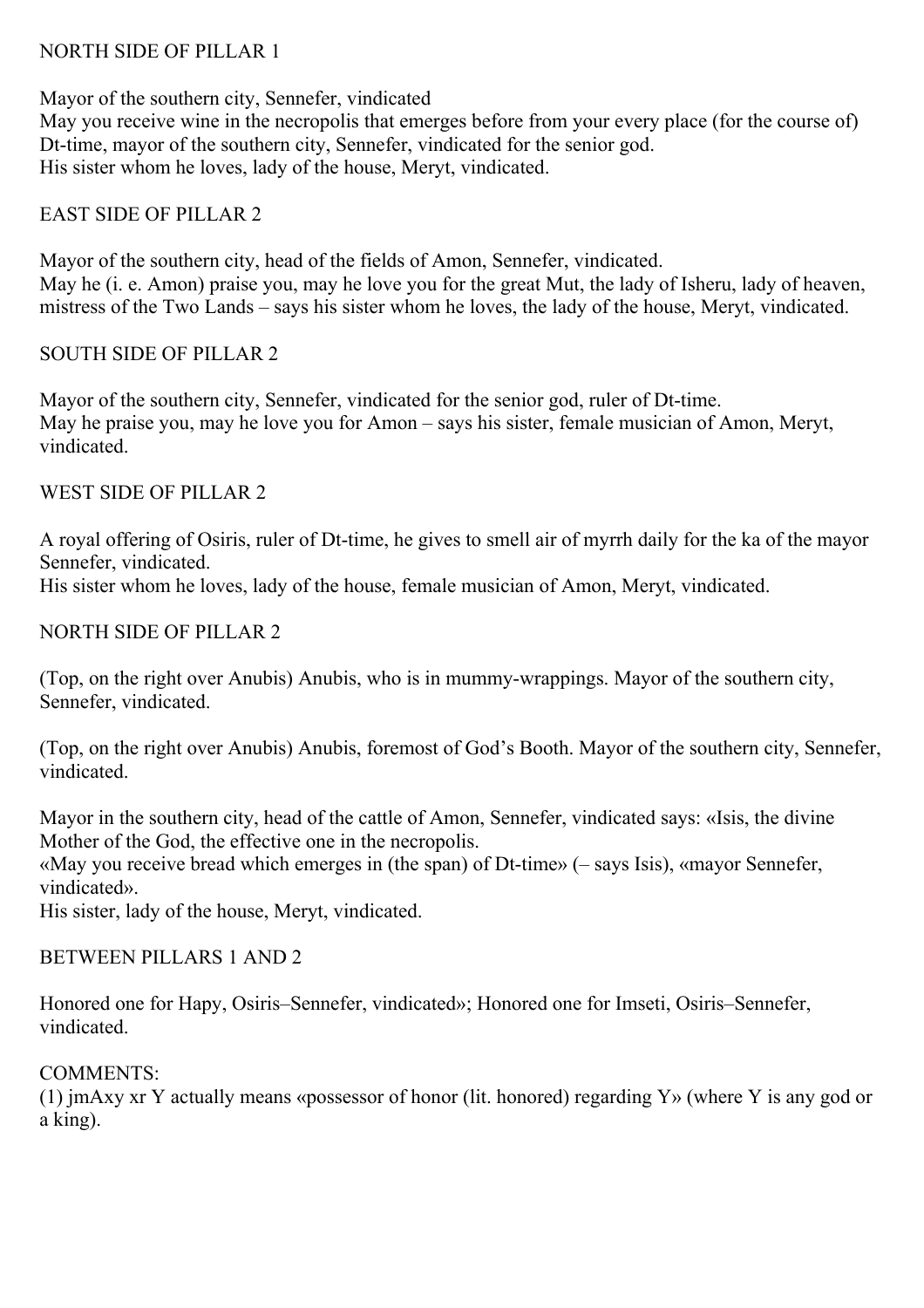#### NORTH SIDE OF PILLAR 1

Mayor of the southern city, Sennefer, vindicated May you receive wine in the necropolis that emerges before from your every place (for the course of) Dt-time, mayor of the southern city, Sennefer, vindicated for the senior god. His sister whom he loves, lady of the house, Meryt, vindicated.

#### EAST SIDE OF PILLAR 2

Mayor of the southern city, head of the fields of Amon, Sennefer, vindicated. May he (i. e. Amon) praise you, may he love you for the great Mut, the lady of Isheru, lady of heaven, mistress of the Two Lands – says his sister whom he loves, the lady of the house, Meryt, vindicated.

#### SOUTH SIDE OF PILLAR 2

Mayor of the southern city, Sennefer, vindicated for the senior god, ruler of Dt-time. May he praise you, may he love you for Amon – says his sister, female musician of Amon, Meryt, vindicated.

#### WEST SIDE OF PILLAR 2

A royal offering of Osiris, ruler of Dt-time, he gives to smell air of myrrh daily for the ka of the mayor Sennefer, vindicated.

His sister whom he loves, lady of the house, female musician of Amon, Meryt, vindicated.

#### NORTH SIDE OF PILLAR 2

(Top, on the right over Anubis) Anubis, who is in mummy-wrappings. Mayor of the southern city, Sennefer, vindicated.

(Top, on the right over Anubis) Anubis, foremost of God's Booth. Mayor of the southern city, Sennefer, vindicated.

Mayor in the southern city, head of the cattle of Amon, Sennefer, vindicated says: «Isis, the divine Mother of the God, the effective one in the necropolis. «May you receive bread which emerges in (the span) of Dt-time» (– says Isis), «mayor Sennefer, vindicated».

His sister, lady of the house, Meryt, vindicated.

#### BETWEEN PILLARS 1 AND 2

Honored one for Hapy, Osiris–Sennefer, vindicated»; Honored one for Imseti, Osiris–Sennefer, vindicated.

#### COMMENTS:

(1) jmAxy xr Y actually means «possessor of honor (lit. honored) regarding Y» (where Y is any god or a king).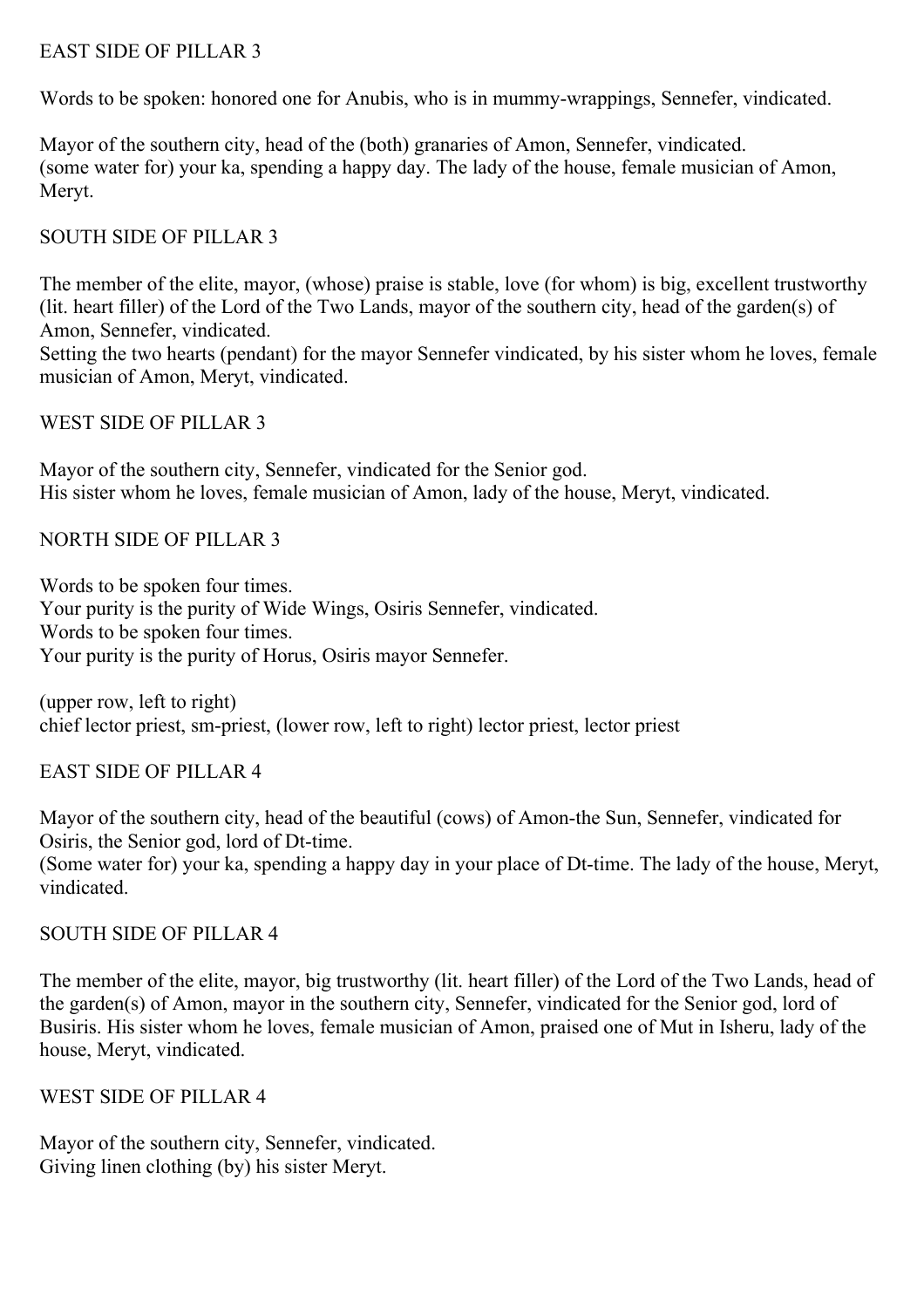#### EAST SIDE OF PILLAR 3

Words to be spoken: honored one for Anubis, who is in mummy-wrappings, Sennefer, vindicated.

Mayor of the southern city, head of the (both) granaries of Amon, Sennefer, vindicated. (some water for) your ka, spending a happy day. The lady of the house, female musician of Amon, Meryt.

# SOUTH SIDE OF PILLAR 3

The member of the elite, mayor, (whose) praise is stable, love (for whom) is big, excellent trustworthy (lit. heart filler) of the Lord of the Two Lands, mayor of the southern city, head of the garden(s) of Amon, Sennefer, vindicated.

Setting the two hearts (pendant) for the mayor Sennefer vindicated, by his sister whom he loves, female musician of Amon, Meryt, vindicated.

WEST SIDE OF PILLAR 3

Mayor of the southern city, Sennefer, vindicated for the Senior god. His sister whom he loves, female musician of Amon, lady of the house, Meryt, vindicated.

NORTH SIDE OF PILLAR 3

Words to be spoken four times. Your purity is the purity of Wide Wings, Osiris Sennefer, vindicated. Words to be spoken four times. Your purity is the purity of Horus, Osiris mayor Sennefer.

(upper row, left to right) chief lector priest, sm-priest, (lower row, left to right) lector priest, lector priest

EAST SIDE OF PILLAR 4

Mayor of the southern city, head of the beautiful (cows) of Amon-the Sun, Sennefer, vindicated for Osiris, the Senior god, lord of Dt-time. (Some water for) your ka, spending a happy day in your place of Dt-time. The lady of the house, Meryt, vindicated.

# SOUTH SIDE OF PILLAR 4

The member of the elite, mayor, big trustworthy (lit. heart filler) of the Lord of the Two Lands, head of the garden(s) of Amon, mayor in the southern city, Sennefer, vindicated for the Senior god, lord of Busiris. His sister whom he loves, female musician of Amon, praised one of Mut in Isheru, lady of the house, Meryt, vindicated.

WEST SIDE OF PILLAR 4

Mayor of the southern city, Sennefer, vindicated. Giving linen clothing (by) his sister Meryt.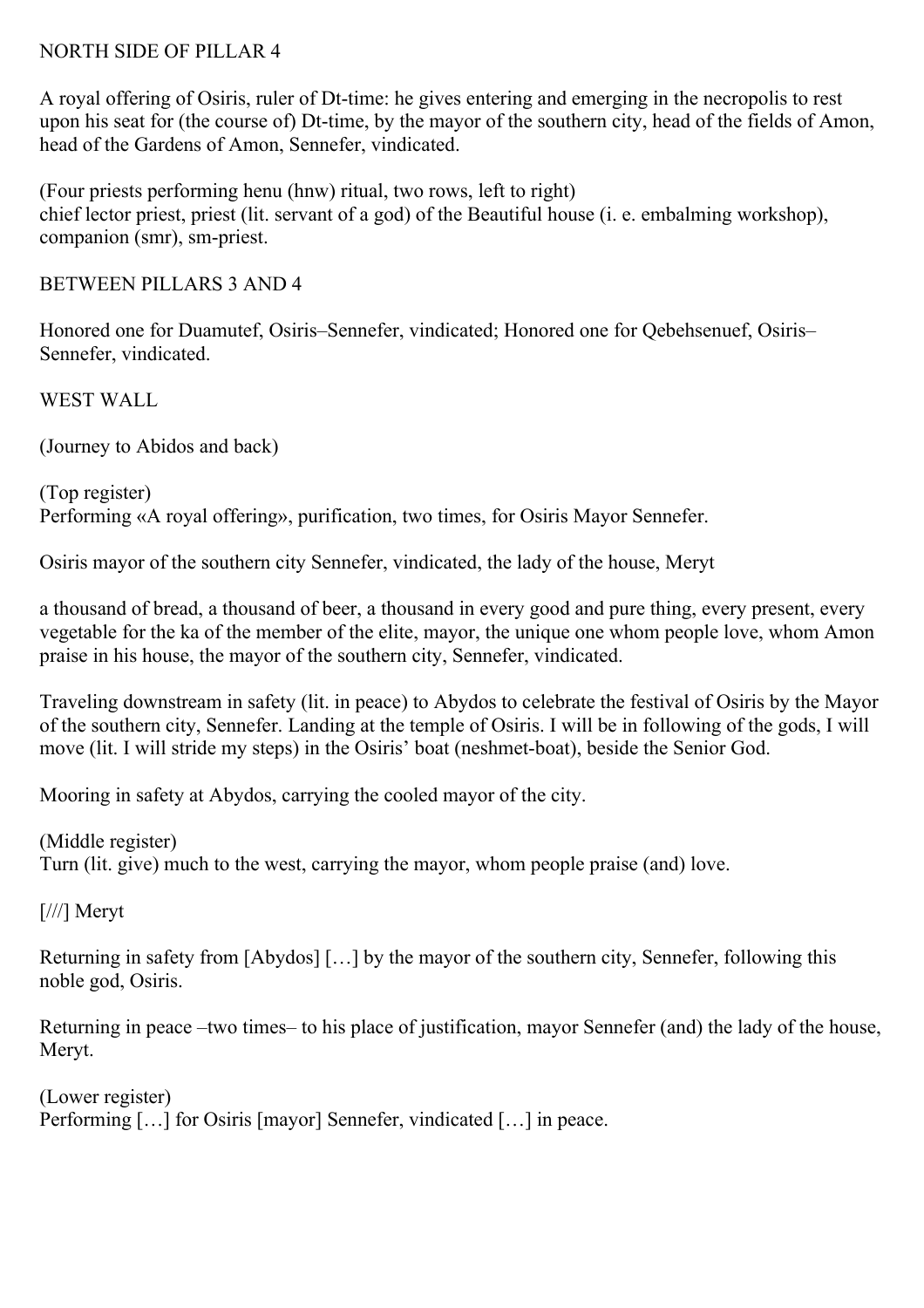#### NORTH SIDE OF PILLAR 4

A royal offering of Osiris, ruler of Dt-time: he gives entering and emerging in the necropolis to rest upon his seat for (the course of) Dt-time, by the mayor of the southern city, head of the fields of Amon, head of the Gardens of Amon, Sennefer, vindicated.

(Four priests performing henu (hnw) ritual, two rows, left to right) chief lector priest, priest (lit. servant of a god) of the Beautiful house (i. e. embalming workshop), companion (smr), sm-priest.

BETWEEN PILLARS 3 AND 4

Honored one for Duamutef, Osiris–Sennefer, vindicated; Honored one for Qebehsenuef, Osiris– Sennefer, vindicated.

WEST WALL

(Journey to Abidos and back)

(Top register) Performing «A royal offering», purification, two times, for Osiris Mayor Sennefer.

Osiris mayor of the southern city Sennefer, vindicated, the lady of the house, Meryt

a thousand of bread, a thousand of beer, a thousand in every good and pure thing, every present, every vegetable for the ka of the member of the elite, mayor, the unique one whom people love, whom Amon praise in his house, the mayor of the southern city, Sennefer, vindicated.

Traveling downstream in safety (lit. in peace) to Abydos to celebrate the festival of Osiris by the Mayor of the southern city, Sennefer. Landing at the temple of Osiris. I will be in following of the gods, I will move (lit. I will stride my steps) in the Osiris' boat (neshmet-boat), beside the Senior God.

Mooring in safety at Abydos, carrying the cooled mayor of the city.

(Middle register)

Turn (lit. give) much to the west, carrying the mayor, whom people praise (and) love.

[///] Meryt

Returning in safety from [Abydos] […] by the mayor of the southern city, Sennefer, following this noble god, Osiris.

Returning in peace –two times– to his place of justification, mayor Sennefer (and) the lady of the house, Meryt.

(Lower register) Performing [...] for Osiris [mayor] Sennefer, vindicated [...] in peace.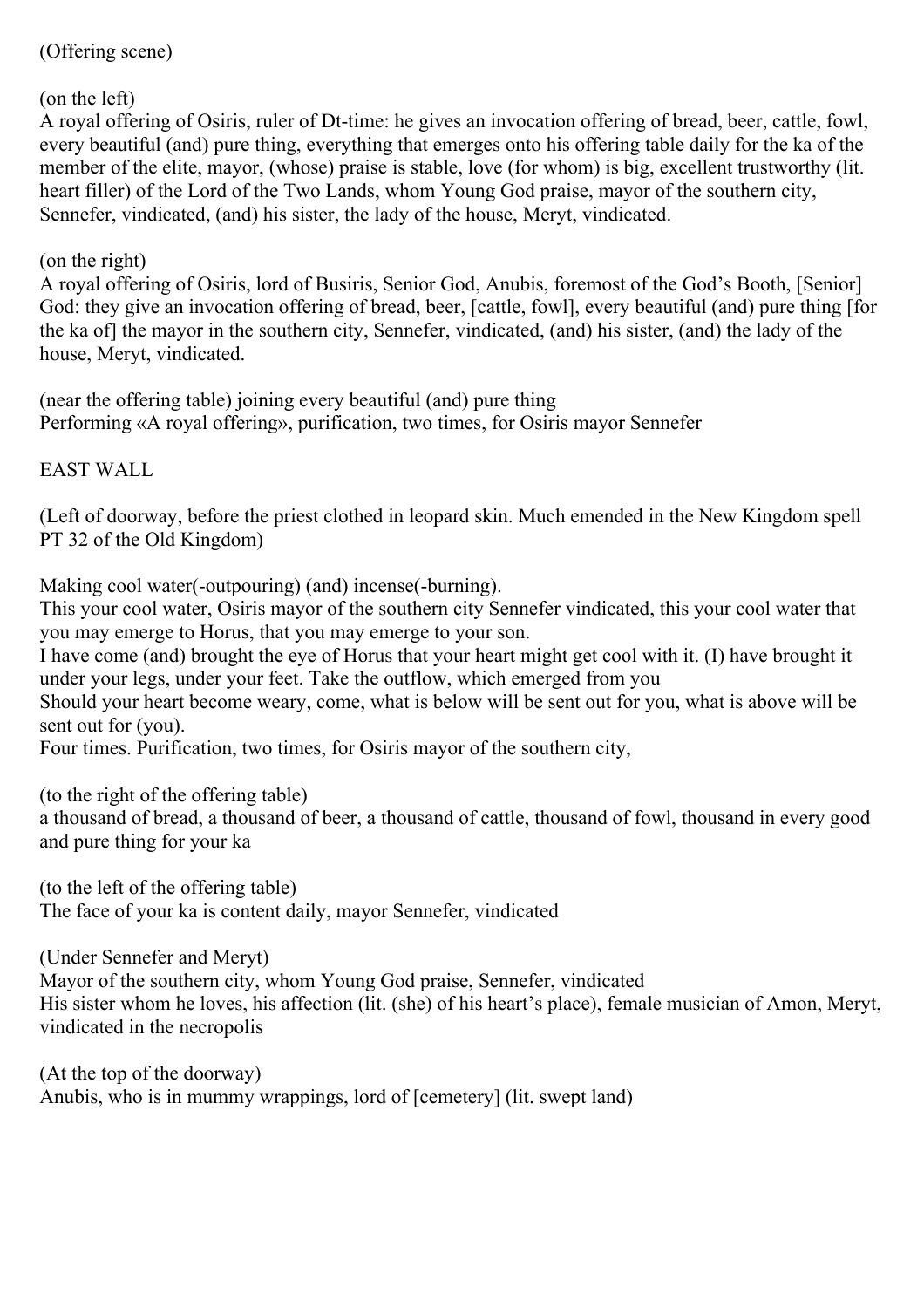#### (Offering scene)

#### (on the left)

A royal offering of Osiris, ruler of Dt-time: he gives an invocation offering of bread, beer, cattle, fowl, every beautiful (and) pure thing, everything that emerges onto his offering table daily for the ka of the member of the elite, mayor, (whose) praise is stable, love (for whom) is big, excellent trustworthy (lit. heart filler) of the Lord of the Two Lands, whom Young God praise, mayor of the southern city, Sennefer, vindicated, (and) his sister, the lady of the house, Meryt, vindicated.

#### (on the right)

A royal offering of Osiris, lord of Busiris, Senior God, Anubis, foremost of the God's Booth, [Senior] God: they give an invocation offering of bread, beer, [cattle, fowl], every beautiful (and) pure thing [for the ka of] the mayor in the southern city, Sennefer, vindicated, (and) his sister, (and) the lady of the house, Meryt, vindicated.

(near the offering table) joining every beautiful (and) pure thing Performing «A royal offering», purification, two times, for Osiris mayor Sennefer

EAST WALL

(Left of doorway, before the priest clothed in leopard skin. Much emended in the New Kingdom spell PT 32 of the Old Kingdom)

Making cool water(-outpouring) (and) incense(-burning).

This your cool water, Osiris mayor of the southern city Sennefer vindicated, this your cool water that you may emerge to Horus, that you may emerge to your son.

I have come (and) brought the eye of Horus that your heart might get cool with it. (I) have brought it under your legs, under your feet. Take the outflow, which emerged from you

Should your heart become weary, come, what is below will be sent out for you, what is above will be sent out for (you).

Four times. Purification, two times, for Osiris mayor of the southern city,

(to the right of the offering table)

a thousand of bread, a thousand of beer, a thousand of cattle, thousand of fowl, thousand in every good and pure thing for your ka

(to the left of the offering table) The face of your ka is content daily, mayor Sennefer, vindicated

(Under Sennefer and Meryt)

Mayor of the southern city, whom Young God praise, Sennefer, vindicated His sister whom he loves, his affection (lit. (she) of his heart's place), female musician of Amon, Meryt, vindicated in the necropolis

(At the top of the doorway) Anubis, who is in mummy wrappings, lord of [cemetery] (lit. swept land)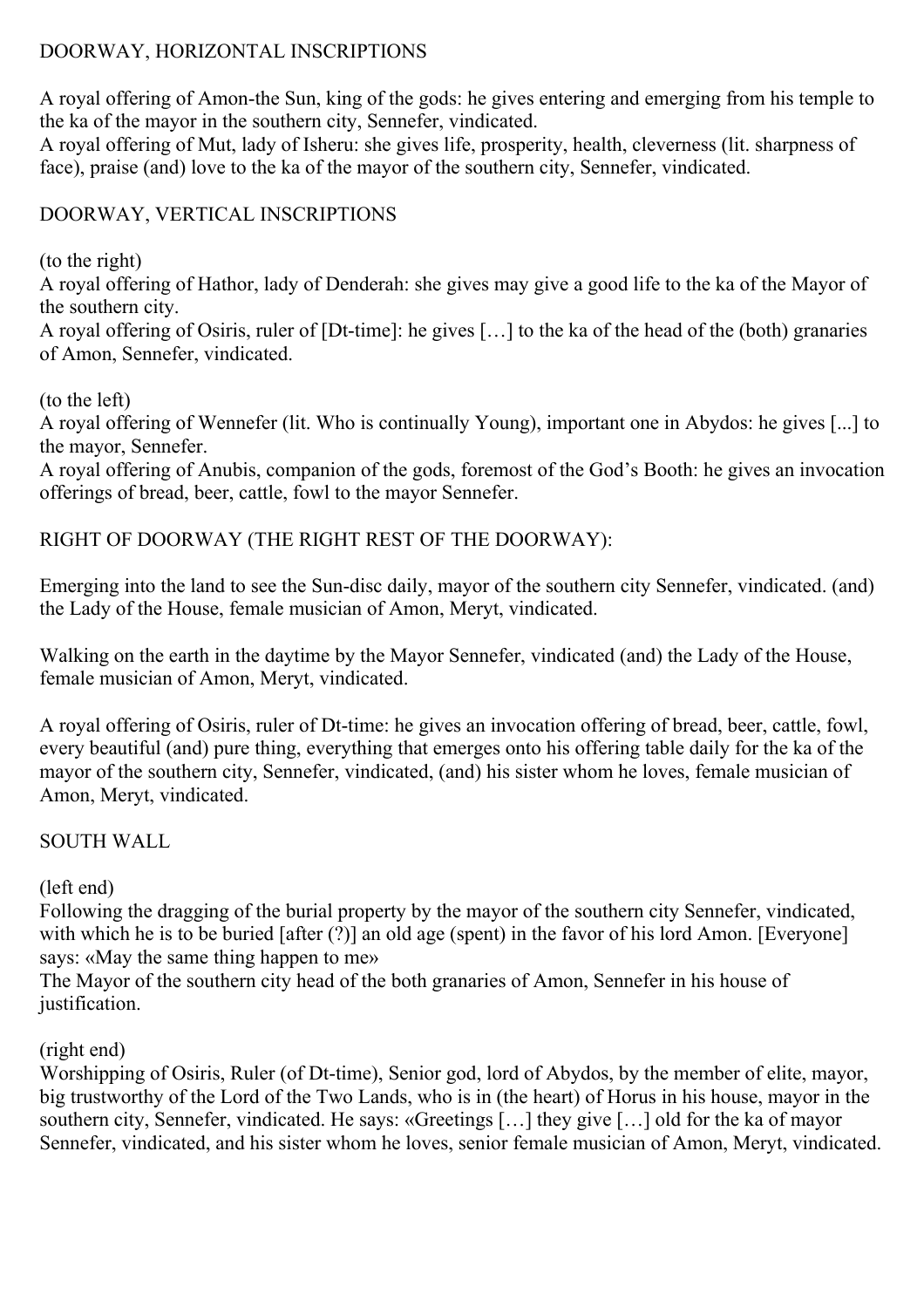# DOORWAY, HORIZONTAL INSCRIPTIONS

A royal offering of Amon-the Sun, king of the gods: he gives entering and emerging from his temple to the ka of the mayor in the southern city, Sennefer, vindicated.

A royal offering of Mut, lady of Isheru: she gives life, prosperity, health, cleverness (lit. sharpness of face), praise (and) love to the ka of the mayor of the southern city, Sennefer, vindicated.

# DOORWAY, VERTICAL INSCRIPTIONS

(to the right)

A royal offering of Hathor, lady of Denderah: she gives may give a good life to the ka of the Mayor of the southern city.

A royal offering of Osiris, ruler of [Dt-time]: he gives […] to the ka of the head of the (both) granaries of Amon, Sennefer, vindicated.

(to the left)

A royal offering of Wennefer (lit. Who is continually Young), important one in Abydos: he gives [...] to the mayor, Sennefer.

A royal offering of Anubis, companion of the gods, foremost of the God's Booth: he gives an invocation offerings of bread, beer, cattle, fowl to the mayor Sennefer.

# RIGHT OF DOORWAY (THE RIGHT REST OF THE DOORWAY):

Emerging into the land to see the Sun-disc daily, mayor of the southern city Sennefer, vindicated. (and) the Lady of the House, female musician of Amon, Meryt, vindicated.

Walking on the earth in the daytime by the Mayor Sennefer, vindicated (and) the Lady of the House, female musician of Amon, Meryt, vindicated.

A royal offering of Osiris, ruler of Dt-time: he gives an invocation offering of bread, beer, cattle, fowl, every beautiful (and) pure thing, everything that emerges onto his offering table daily for the ka of the mayor of the southern city, Sennefer, vindicated, (and) his sister whom he loves, female musician of Amon, Meryt, vindicated.

# SOUTH WALL

# (left end)

Following the dragging of the burial property by the mayor of the southern city Sennefer, vindicated, with which he is to be buried [after  $(\overline{?})$ ] an old age (spent) in the favor of his lord Amon. [Everyone] says: «May the same thing happen to me»

The Mayor of the southern city head of the both granaries of Amon, Sennefer in his house of justification.

# (right end)

Worshipping of Osiris, Ruler (of Dt-time), Senior god, lord of Abydos, by the member of elite, mayor, big trustworthy of the Lord of the Two Lands, who is in (the heart) of Horus in his house, mayor in the southern city, Sennefer, vindicated. He says: «Greetings […] they give […] old for the ka of mayor Sennefer, vindicated, and his sister whom he loves, senior female musician of Amon, Meryt, vindicated.